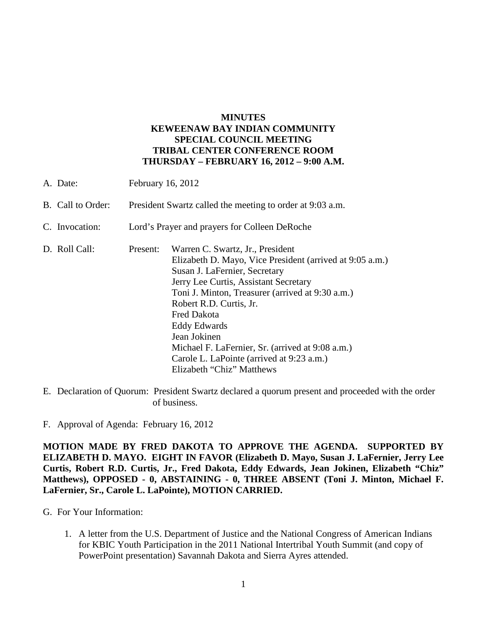## **MINUTES KEWEENAW BAY INDIAN COMMUNITY SPECIAL COUNCIL MEETING TRIBAL CENTER CONFERENCE ROOM THURSDAY – FEBRUARY 16, 2012 – 9:00 A.M.**

| A. Date:          | February 16, 2012                                         |                                                                                                                                                                                                                                                                                                                                                                                                                                           |
|-------------------|-----------------------------------------------------------|-------------------------------------------------------------------------------------------------------------------------------------------------------------------------------------------------------------------------------------------------------------------------------------------------------------------------------------------------------------------------------------------------------------------------------------------|
| B. Call to Order: | President Swartz called the meeting to order at 9:03 a.m. |                                                                                                                                                                                                                                                                                                                                                                                                                                           |
| C. Invocation:    | Lord's Prayer and prayers for Colleen DeRoche             |                                                                                                                                                                                                                                                                                                                                                                                                                                           |
| D. Roll Call:     | Present:                                                  | Warren C. Swartz, Jr., President<br>Elizabeth D. Mayo, Vice President (arrived at 9:05 a.m.)<br>Susan J. LaFernier, Secretary<br>Jerry Lee Curtis, Assistant Secretary<br>Toni J. Minton, Treasurer (arrived at 9:30 a.m.)<br>Robert R.D. Curtis, Jr.<br>Fred Dakota<br><b>Eddy Edwards</b><br>Jean Jokinen<br>Michael F. LaFernier, Sr. (arrived at 9:08 a.m.)<br>Carole L. LaPointe (arrived at 9:23 a.m.)<br>Elizabeth "Chiz" Matthews |

E. Declaration of Quorum: President Swartz declared a quorum present and proceeded with the order of business.

F. Approval of Agenda: February 16, 2012

**MOTION MADE BY FRED DAKOTA TO APPROVE THE AGENDA. SUPPORTED BY ELIZABETH D. MAYO. EIGHT IN FAVOR (Elizabeth D. Mayo, Susan J. LaFernier, Jerry Lee Curtis, Robert R.D. Curtis, Jr., Fred Dakota, Eddy Edwards, Jean Jokinen, Elizabeth "Chiz" Matthews), OPPOSED - 0, ABSTAINING - 0, THREE ABSENT (Toni J. Minton, Michael F. LaFernier, Sr., Carole L. LaPointe), MOTION CARRIED.**

G. For Your Information:

1. A letter from the U.S. Department of Justice and the National Congress of American Indians for KBIC Youth Participation in the 2011 National Intertribal Youth Summit (and copy of PowerPoint presentation) Savannah Dakota and Sierra Ayres attended.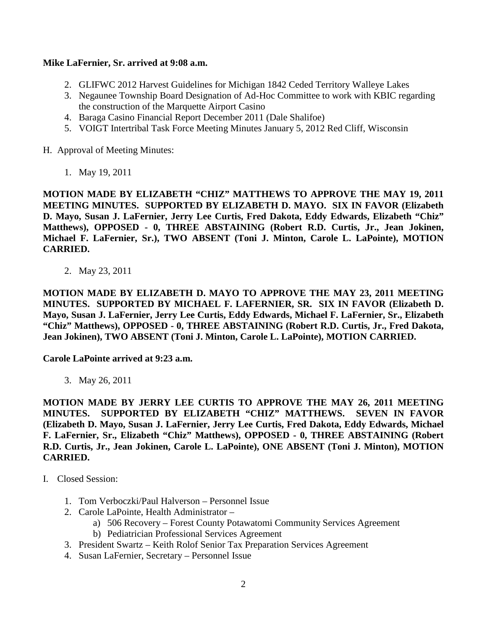### **Mike LaFernier, Sr. arrived at 9:08 a.m.**

- 2. GLIFWC 2012 Harvest Guidelines for Michigan 1842 Ceded Territory Walleye Lakes
- 3. Negaunee Township Board Designation of Ad-Hoc Committee to work with KBIC regarding the construction of the Marquette Airport Casino
- 4. Baraga Casino Financial Report December 2011 (Dale Shalifoe)
- 5. VOIGT Intertribal Task Force Meeting Minutes January 5, 2012 Red Cliff, Wisconsin

H. Approval of Meeting Minutes:

1. May 19, 2011

**MOTION MADE BY ELIZABETH "CHIZ" MATTHEWS TO APPROVE THE MAY 19, 2011 MEETING MINUTES. SUPPORTED BY ELIZABETH D. MAYO. SIX IN FAVOR (Elizabeth D. Mayo, Susan J. LaFernier, Jerry Lee Curtis, Fred Dakota, Eddy Edwards, Elizabeth "Chiz" Matthews), OPPOSED - 0, THREE ABSTAINING (Robert R.D. Curtis, Jr., Jean Jokinen, Michael F. LaFernier, Sr.), TWO ABSENT (Toni J. Minton, Carole L. LaPointe), MOTION CARRIED.**

2. May 23, 2011

**MOTION MADE BY ELIZABETH D. MAYO TO APPROVE THE MAY 23, 2011 MEETING MINUTES. SUPPORTED BY MICHAEL F. LAFERNIER, SR. SIX IN FAVOR (Elizabeth D. Mayo, Susan J. LaFernier, Jerry Lee Curtis, Eddy Edwards, Michael F. LaFernier, Sr., Elizabeth "Chiz" Matthews), OPPOSED - 0, THREE ABSTAINING (Robert R.D. Curtis, Jr., Fred Dakota, Jean Jokinen), TWO ABSENT (Toni J. Minton, Carole L. LaPointe), MOTION CARRIED.**

**Carole LaPointe arrived at 9:23 a.m.** 

3. May 26, 2011

**MOTION MADE BY JERRY LEE CURTIS TO APPROVE THE MAY 26, 2011 MEETING MINUTES. SUPPORTED BY ELIZABETH "CHIZ" MATTHEWS. SEVEN IN FAVOR (Elizabeth D. Mayo, Susan J. LaFernier, Jerry Lee Curtis, Fred Dakota, Eddy Edwards, Michael F. LaFernier, Sr., Elizabeth "Chiz" Matthews), OPPOSED - 0, THREE ABSTAINING (Robert R.D. Curtis, Jr., Jean Jokinen, Carole L. LaPointe), ONE ABSENT (Toni J. Minton), MOTION CARRIED.**

- I. Closed Session:
	- 1. Tom Verboczki/Paul Halverson Personnel Issue
	- 2. Carole LaPointe, Health Administrator
		- a) 506 Recovery Forest County Potawatomi Community Services Agreement
		- b) Pediatrician Professional Services Agreement
	- 3. President Swartz Keith Rolof Senior Tax Preparation Services Agreement
	- 4. Susan LaFernier, Secretary Personnel Issue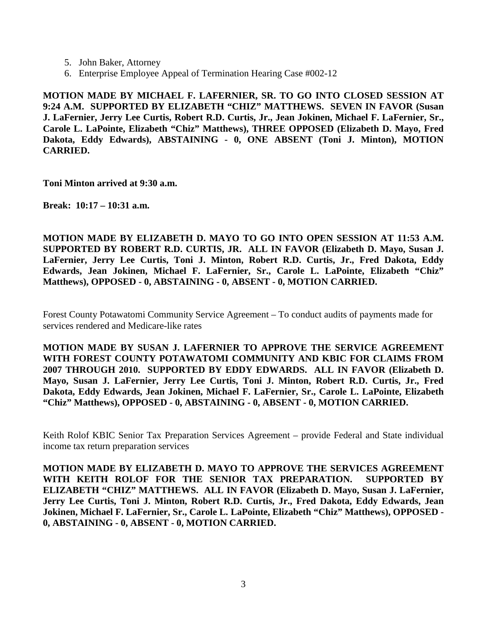- 5. John Baker, Attorney
- 6. Enterprise Employee Appeal of Termination Hearing Case #002-12

**MOTION MADE BY MICHAEL F. LAFERNIER, SR. TO GO INTO CLOSED SESSION AT 9:24 A.M. SUPPORTED BY ELIZABETH "CHIZ" MATTHEWS. SEVEN IN FAVOR (Susan J. LaFernier, Jerry Lee Curtis, Robert R.D. Curtis, Jr., Jean Jokinen, Michael F. LaFernier, Sr., Carole L. LaPointe, Elizabeth "Chiz" Matthews), THREE OPPOSED (Elizabeth D. Mayo, Fred Dakota, Eddy Edwards), ABSTAINING - 0, ONE ABSENT (Toni J. Minton), MOTION CARRIED.**

**Toni Minton arrived at 9:30 a.m.** 

**Break: 10:17 – 10:31 a.m.**

**MOTION MADE BY ELIZABETH D. MAYO TO GO INTO OPEN SESSION AT 11:53 A.M. SUPPORTED BY ROBERT R.D. CURTIS, JR. ALL IN FAVOR (Elizabeth D. Mayo, Susan J. LaFernier, Jerry Lee Curtis, Toni J. Minton, Robert R.D. Curtis, Jr., Fred Dakota, Eddy Edwards, Jean Jokinen, Michael F. LaFernier, Sr., Carole L. LaPointe, Elizabeth "Chiz" Matthews), OPPOSED - 0, ABSTAINING - 0, ABSENT - 0, MOTION CARRIED.**

Forest County Potawatomi Community Service Agreement – To conduct audits of payments made for services rendered and Medicare-like rates

**MOTION MADE BY SUSAN J. LAFERNIER TO APPROVE THE SERVICE AGREEMENT WITH FOREST COUNTY POTAWATOMI COMMUNITY AND KBIC FOR CLAIMS FROM 2007 THROUGH 2010. SUPPORTED BY EDDY EDWARDS. ALL IN FAVOR (Elizabeth D. Mayo, Susan J. LaFernier, Jerry Lee Curtis, Toni J. Minton, Robert R.D. Curtis, Jr., Fred Dakota, Eddy Edwards, Jean Jokinen, Michael F. LaFernier, Sr., Carole L. LaPointe, Elizabeth "Chiz" Matthews), OPPOSED - 0, ABSTAINING - 0, ABSENT - 0, MOTION CARRIED.**

Keith Rolof KBIC Senior Tax Preparation Services Agreement – provide Federal and State individual income tax return preparation services

**MOTION MADE BY ELIZABETH D. MAYO TO APPROVE THE SERVICES AGREEMENT WITH KEITH ROLOF FOR THE SENIOR TAX PREPARATION. SUPPORTED BY ELIZABETH "CHIZ" MATTHEWS. ALL IN FAVOR (Elizabeth D. Mayo, Susan J. LaFernier, Jerry Lee Curtis, Toni J. Minton, Robert R.D. Curtis, Jr., Fred Dakota, Eddy Edwards, Jean Jokinen, Michael F. LaFernier, Sr., Carole L. LaPointe, Elizabeth "Chiz" Matthews), OPPOSED - 0, ABSTAINING - 0, ABSENT - 0, MOTION CARRIED.**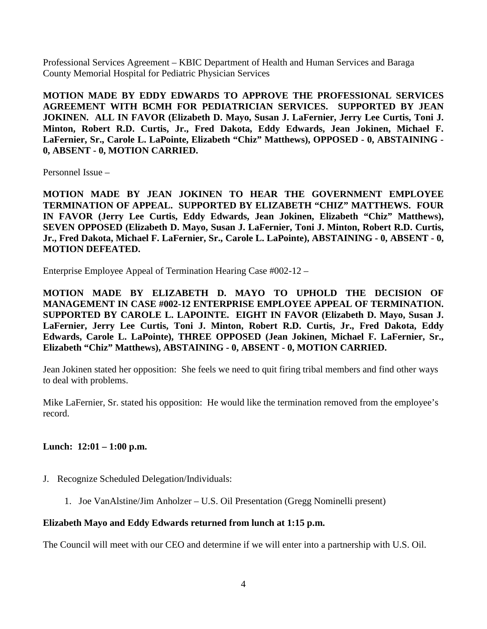Professional Services Agreement – KBIC Department of Health and Human Services and Baraga County Memorial Hospital for Pediatric Physician Services

**MOTION MADE BY EDDY EDWARDS TO APPROVE THE PROFESSIONAL SERVICES AGREEMENT WITH BCMH FOR PEDIATRICIAN SERVICES. SUPPORTED BY JEAN JOKINEN. ALL IN FAVOR (Elizabeth D. Mayo, Susan J. LaFernier, Jerry Lee Curtis, Toni J. Minton, Robert R.D. Curtis, Jr., Fred Dakota, Eddy Edwards, Jean Jokinen, Michael F. LaFernier, Sr., Carole L. LaPointe, Elizabeth "Chiz" Matthews), OPPOSED - 0, ABSTAINING - 0, ABSENT - 0, MOTION CARRIED.**

Personnel Issue –

**MOTION MADE BY JEAN JOKINEN TO HEAR THE GOVERNMENT EMPLOYEE TERMINATION OF APPEAL. SUPPORTED BY ELIZABETH "CHIZ" MATTHEWS. FOUR IN FAVOR (Jerry Lee Curtis, Eddy Edwards, Jean Jokinen, Elizabeth "Chiz" Matthews), SEVEN OPPOSED (Elizabeth D. Mayo, Susan J. LaFernier, Toni J. Minton, Robert R.D. Curtis, Jr., Fred Dakota, Michael F. LaFernier, Sr., Carole L. LaPointe), ABSTAINING - 0, ABSENT - 0, MOTION DEFEATED.**

Enterprise Employee Appeal of Termination Hearing Case #002-12 –

**MOTION MADE BY ELIZABETH D. MAYO TO UPHOLD THE DECISION OF MANAGEMENT IN CASE #002-12 ENTERPRISE EMPLOYEE APPEAL OF TERMINATION. SUPPORTED BY CAROLE L. LAPOINTE. EIGHT IN FAVOR (Elizabeth D. Mayo, Susan J. LaFernier, Jerry Lee Curtis, Toni J. Minton, Robert R.D. Curtis, Jr., Fred Dakota, Eddy Edwards, Carole L. LaPointe), THREE OPPOSED (Jean Jokinen, Michael F. LaFernier, Sr., Elizabeth "Chiz" Matthews), ABSTAINING - 0, ABSENT - 0, MOTION CARRIED.**

Jean Jokinen stated her opposition: She feels we need to quit firing tribal members and find other ways to deal with problems.

Mike LaFernier, Sr. stated his opposition: He would like the termination removed from the employee's record.

## **Lunch: 12:01 – 1:00 p.m.**

- J. Recognize Scheduled Delegation/Individuals:
	- 1. Joe VanAlstine/Jim Anholzer U.S. Oil Presentation (Gregg Nominelli present)

# **Elizabeth Mayo and Eddy Edwards returned from lunch at 1:15 p.m.**

The Council will meet with our CEO and determine if we will enter into a partnership with U.S. Oil.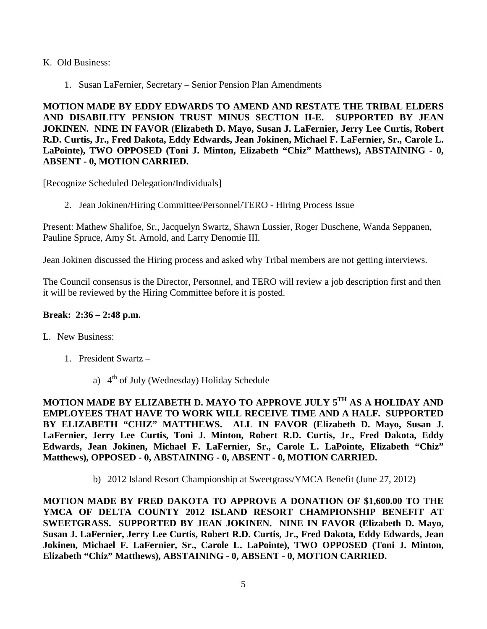- K. Old Business:
	- 1. Susan LaFernier, Secretary Senior Pension Plan Amendments

**MOTION MADE BY EDDY EDWARDS TO AMEND AND RESTATE THE TRIBAL ELDERS AND DISABILITY PENSION TRUST MINUS SECTION II-E. SUPPORTED BY JEAN JOKINEN. NINE IN FAVOR (Elizabeth D. Mayo, Susan J. LaFernier, Jerry Lee Curtis, Robert R.D. Curtis, Jr., Fred Dakota, Eddy Edwards, Jean Jokinen, Michael F. LaFernier, Sr., Carole L. LaPointe), TWO OPPOSED (Toni J. Minton, Elizabeth "Chiz" Matthews), ABSTAINING - 0, ABSENT - 0, MOTION CARRIED.**

[Recognize Scheduled Delegation/Individuals]

2. Jean Jokinen/Hiring Committee/Personnel/TERO - Hiring Process Issue

Present: Mathew Shalifoe, Sr., Jacquelyn Swartz, Shawn Lussier, Roger Duschene, Wanda Seppanen, Pauline Spruce, Amy St. Arnold, and Larry Denomie III.

Jean Jokinen discussed the Hiring process and asked why Tribal members are not getting interviews.

The Council consensus is the Director, Personnel, and TERO will review a job description first and then it will be reviewed by the Hiring Committee before it is posted.

### **Break: 2:36 – 2:48 p.m.**

- L. New Business:
	- 1. President Swartz
		- a)  $4<sup>th</sup>$  of July (Wednesday) Holiday Schedule

**MOTION MADE BY ELIZABETH D. MAYO TO APPROVE JULY 5TH AS A HOLIDAY AND EMPLOYEES THAT HAVE TO WORK WILL RECEIVE TIME AND A HALF. SUPPORTED BY ELIZABETH "CHIZ" MATTHEWS. ALL IN FAVOR (Elizabeth D. Mayo, Susan J. LaFernier, Jerry Lee Curtis, Toni J. Minton, Robert R.D. Curtis, Jr., Fred Dakota, Eddy Edwards, Jean Jokinen, Michael F. LaFernier, Sr., Carole L. LaPointe, Elizabeth "Chiz" Matthews), OPPOSED - 0, ABSTAINING - 0, ABSENT - 0, MOTION CARRIED.**

b) 2012 Island Resort Championship at Sweetgrass/YMCA Benefit (June 27, 2012)

**MOTION MADE BY FRED DAKOTA TO APPROVE A DONATION OF \$1,600.00 TO THE YMCA OF DELTA COUNTY 2012 ISLAND RESORT CHAMPIONSHIP BENEFIT AT SWEETGRASS. SUPPORTED BY JEAN JOKINEN. NINE IN FAVOR (Elizabeth D. Mayo, Susan J. LaFernier, Jerry Lee Curtis, Robert R.D. Curtis, Jr., Fred Dakota, Eddy Edwards, Jean Jokinen, Michael F. LaFernier, Sr., Carole L. LaPointe), TWO OPPOSED (Toni J. Minton, Elizabeth "Chiz" Matthews), ABSTAINING - 0, ABSENT - 0, MOTION CARRIED.**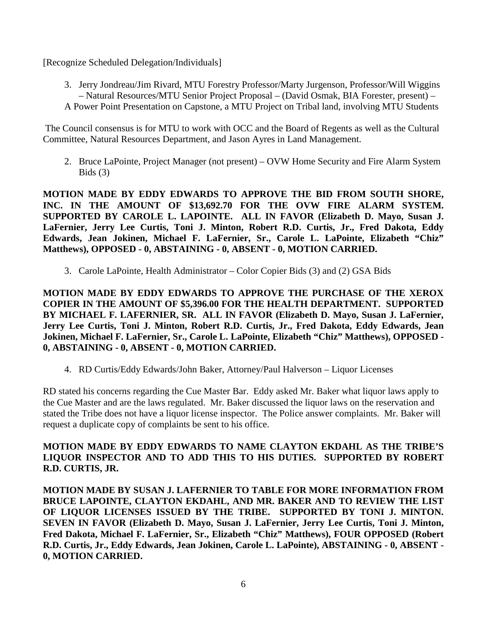[Recognize Scheduled Delegation/Individuals]

3. Jerry Jondreau/Jim Rivard, MTU Forestry Professor/Marty Jurgenson, Professor/Will Wiggins – Natural Resources/MTU Senior Project Proposal – (David Osmak, BIA Forester, present) – A Power Point Presentation on Capstone, a MTU Project on Tribal land, involving MTU Students

 The Council consensus is for MTU to work with OCC and the Board of Regents as well as the Cultural Committee, Natural Resources Department, and Jason Ayres in Land Management.

2. Bruce LaPointe, Project Manager (not present) – OVW Home Security and Fire Alarm System Bids  $(3)$ 

**MOTION MADE BY EDDY EDWARDS TO APPROVE THE BID FROM SOUTH SHORE, INC. IN THE AMOUNT OF \$13,692.70 FOR THE OVW FIRE ALARM SYSTEM. SUPPORTED BY CAROLE L. LAPOINTE. ALL IN FAVOR (Elizabeth D. Mayo, Susan J. LaFernier, Jerry Lee Curtis, Toni J. Minton, Robert R.D. Curtis, Jr., Fred Dakota, Eddy Edwards, Jean Jokinen, Michael F. LaFernier, Sr., Carole L. LaPointe, Elizabeth "Chiz" Matthews), OPPOSED - 0, ABSTAINING - 0, ABSENT - 0, MOTION CARRIED.**

3. Carole LaPointe, Health Administrator – Color Copier Bids (3) and (2) GSA Bids

**MOTION MADE BY EDDY EDWARDS TO APPROVE THE PURCHASE OF THE XEROX COPIER IN THE AMOUNT OF \$5,396.00 FOR THE HEALTH DEPARTMENT. SUPPORTED BY MICHAEL F. LAFERNIER, SR. ALL IN FAVOR (Elizabeth D. Mayo, Susan J. LaFernier, Jerry Lee Curtis, Toni J. Minton, Robert R.D. Curtis, Jr., Fred Dakota, Eddy Edwards, Jean Jokinen, Michael F. LaFernier, Sr., Carole L. LaPointe, Elizabeth "Chiz" Matthews), OPPOSED - 0, ABSTAINING - 0, ABSENT - 0, MOTION CARRIED.**

4. RD Curtis/Eddy Edwards/John Baker, Attorney/Paul Halverson – Liquor Licenses

RD stated his concerns regarding the Cue Master Bar. Eddy asked Mr. Baker what liquor laws apply to the Cue Master and are the laws regulated. Mr. Baker discussed the liquor laws on the reservation and stated the Tribe does not have a liquor license inspector. The Police answer complaints. Mr. Baker will request a duplicate copy of complaints be sent to his office.

### **MOTION MADE BY EDDY EDWARDS TO NAME CLAYTON EKDAHL AS THE TRIBE'S LIQUOR INSPECTOR AND TO ADD THIS TO HIS DUTIES. SUPPORTED BY ROBERT R.D. CURTIS, JR.**

**MOTION MADE BY SUSAN J. LAFERNIER TO TABLE FOR MORE INFORMATION FROM BRUCE LAPOINTE, CLAYTON EKDAHL, AND MR. BAKER AND TO REVIEW THE LIST OF LIQUOR LICENSES ISSUED BY THE TRIBE. SUPPORTED BY TONI J. MINTON. SEVEN IN FAVOR (Elizabeth D. Mayo, Susan J. LaFernier, Jerry Lee Curtis, Toni J. Minton, Fred Dakota, Michael F. LaFernier, Sr., Elizabeth "Chiz" Matthews), FOUR OPPOSED (Robert R.D. Curtis, Jr., Eddy Edwards, Jean Jokinen, Carole L. LaPointe), ABSTAINING - 0, ABSENT - 0, MOTION CARRIED.**